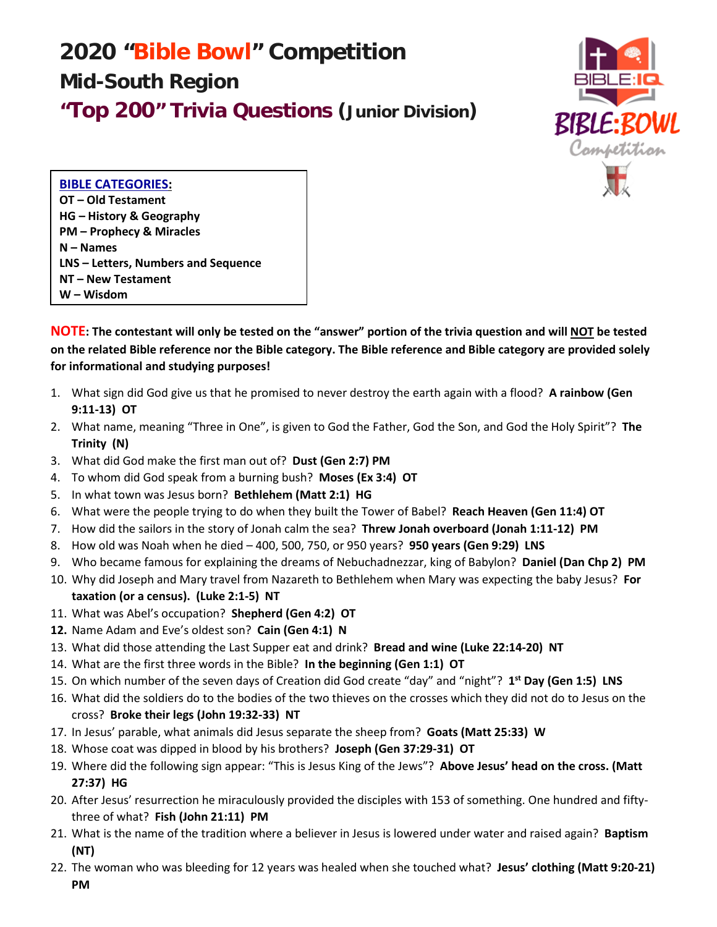## **2020 "Bible Bowl" Competition Mid-South Region "Top 200" Trivia Questions (Junior Division)**



**BIBLE CATEGORIES: OT – Old Testament HG – History & Geography PM – Prophecy & Miracles N – Names LNS – Letters, Numbers and Sequence NT – New Testament W – Wisdom** 

**NOTE: The contestant will only be tested on the "answer" portion of the trivia question and will NOT be tested on the related Bible reference nor the Bible category. The Bible reference and Bible category are provided solely for informational and studying purposes!**

- 1. What sign did God give us that he promised to never destroy the earth again with a flood? **A rainbow (Gen 9:11-13) OT**
- 2. What name, meaning "Three in One", is given to God the Father, God the Son, and God the Holy Spirit"? **The Trinity (N)**
- 3. What did God make the first man out of? **Dust (Gen 2:7) PM**
- 4. To whom did God speak from a burning bush? **Moses (Ex 3:4) OT**
- 5. In what town was Jesus born? **Bethlehem (Matt 2:1) HG**
- 6. What were the people trying to do when they built the Tower of Babel? **Reach Heaven (Gen 11:4) OT**
- 7. How did the sailors in the story of Jonah calm the sea? **Threw Jonah overboard (Jonah 1:11-12) PM**
- 8. How old was Noah when he died 400, 500, 750, or 950 years? **950 years (Gen 9:29) LNS**
- 9. Who became famous for explaining the dreams of Nebuchadnezzar, king of Babylon? **Daniel (Dan Chp 2) PM**
- 10. Why did Joseph and Mary travel from Nazareth to Bethlehem when Mary was expecting the baby Jesus? **For taxation (or a census). (Luke 2:1-5) NT**
- 11. What was Abel's occupation? **Shepherd (Gen 4:2) OT**
- **12.** Name Adam and Eve's oldest son? **Cain (Gen 4:1) N**
- 13. What did those attending the Last Supper eat and drink? **Bread and wine (Luke 22:14-20) NT**
- 14. What are the first three words in the Bible? **In the beginning (Gen 1:1) OT**
- 15. On which number of the seven days of Creation did God create "day" and "night"? **1st Day (Gen 1:5) LNS**
- 16. What did the soldiers do to the bodies of the two thieves on the crosses which they did not do to Jesus on the cross? **Broke their legs (John 19:32-33) NT**
- 17. In Jesus' parable, what animals did Jesus separate the sheep from? **Goats (Matt 25:33) W**
- 18. Whose coat was dipped in blood by his brothers? **Joseph (Gen 37:29-31) OT**
- 19. Where did the following sign appear: "This is Jesus King of the Jews"? **Above Jesus' head on the cross. (Matt 27:37) HG**
- 20. After Jesus' resurrection he miraculously provided the disciples with 153 of something. One hundred and fiftythree of what? **Fish (John 21:11) PM**
- 21. What is the name of the tradition where a believer in Jesus is lowered under water and raised again? **Baptism (NT)**
- 22. The woman who was bleeding for 12 years was healed when she touched what? **Jesus' clothing (Matt 9:20-21) PM**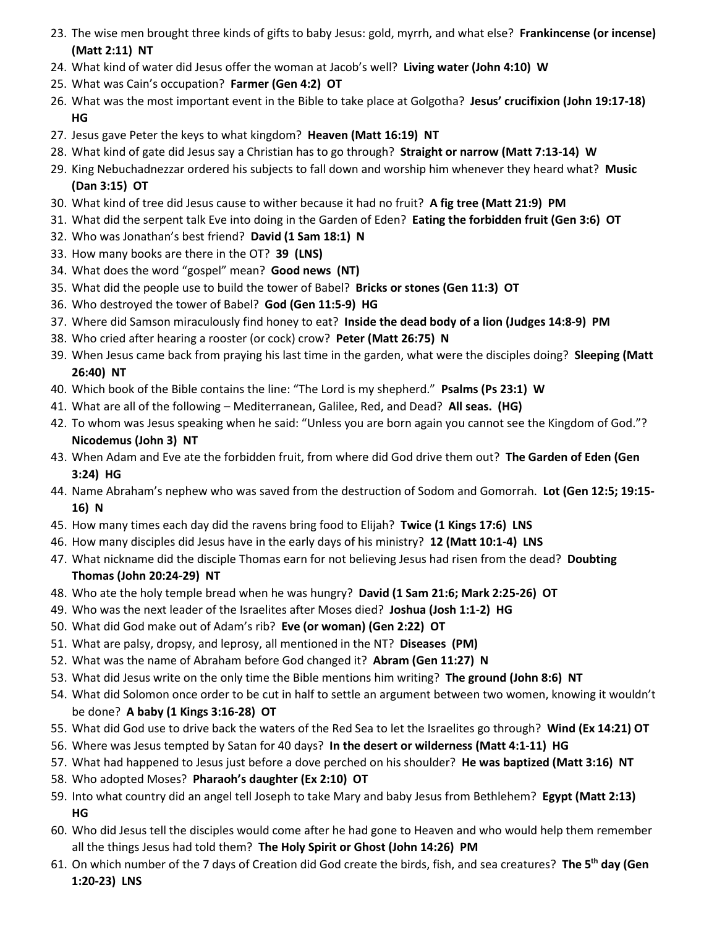- 23. The wise men brought three kinds of gifts to baby Jesus: gold, myrrh, and what else? **Frankincense (or incense) (Matt 2:11) NT**
- 24. What kind of water did Jesus offer the woman at Jacob's well? **Living water (John 4:10) W**
- 25. What was Cain's occupation? **Farmer (Gen 4:2) OT**
- 26. What was the most important event in the Bible to take place at Golgotha? **Jesus' crucifixion (John 19:17-18) HG**
- 27. Jesus gave Peter the keys to what kingdom? **Heaven (Matt 16:19) NT**
- 28. What kind of gate did Jesus say a Christian has to go through? **Straight or narrow (Matt 7:13-14) W**
- 29. King Nebuchadnezzar ordered his subjects to fall down and worship him whenever they heard what? **Music (Dan 3:15) OT**
- 30. What kind of tree did Jesus cause to wither because it had no fruit? **A fig tree (Matt 21:9) PM**
- 31. What did the serpent talk Eve into doing in the Garden of Eden? **Eating the forbidden fruit (Gen 3:6) OT**
- 32. Who was Jonathan's best friend? **David (1 Sam 18:1) N**
- 33. How many books are there in the OT? **39 (LNS)**
- 34. What does the word "gospel" mean? **Good news (NT)**
- 35. What did the people use to build the tower of Babel? **Bricks or stones (Gen 11:3) OT**
- 36. Who destroyed the tower of Babel? **God (Gen 11:5-9) HG**
- 37. Where did Samson miraculously find honey to eat? **Inside the dead body of a lion (Judges 14:8-9) PM**
- 38. Who cried after hearing a rooster (or cock) crow? **Peter (Matt 26:75) N**
- 39. When Jesus came back from praying his last time in the garden, what were the disciples doing? **Sleeping (Matt 26:40) NT**
- 40. Which book of the Bible contains the line: "The Lord is my shepherd." **Psalms (Ps 23:1) W**
- 41. What are all of the following Mediterranean, Galilee, Red, and Dead? **All seas. (HG)**
- 42. To whom was Jesus speaking when he said: "Unless you are born again you cannot see the Kingdom of God."? **Nicodemus (John 3) NT**
- 43. When Adam and Eve ate the forbidden fruit, from where did God drive them out? **The Garden of Eden (Gen 3:24) HG**
- 44. Name Abraham's nephew who was saved from the destruction of Sodom and Gomorrah. **Lot (Gen 12:5; 19:15- 16) N**
- 45. How many times each day did the ravens bring food to Elijah? **Twice (1 Kings 17:6) LNS**
- 46. How many disciples did Jesus have in the early days of his ministry? **12 (Matt 10:1-4) LNS**
- 47. What nickname did the disciple Thomas earn for not believing Jesus had risen from the dead? **Doubting Thomas (John 20:24-29) NT**
- 48. Who ate the holy temple bread when he was hungry? **David (1 Sam 21:6; Mark 2:25-26) OT**
- 49. Who was the next leader of the Israelites after Moses died? **Joshua (Josh 1:1-2) HG**
- 50. What did God make out of Adam's rib? **Eve (or woman) (Gen 2:22) OT**
- 51. What are palsy, dropsy, and leprosy, all mentioned in the NT? **Diseases (PM)**
- 52. What was the name of Abraham before God changed it? **Abram (Gen 11:27) N**
- 53. What did Jesus write on the only time the Bible mentions him writing? **The ground (John 8:6) NT**
- 54. What did Solomon once order to be cut in half to settle an argument between two women, knowing it wouldn't be done? **A baby (1 Kings 3:16-28) OT**
- 55. What did God use to drive back the waters of the Red Sea to let the Israelites go through? **Wind (Ex 14:21) OT**
- 56. Where was Jesus tempted by Satan for 40 days? **In the desert or wilderness (Matt 4:1-11) HG**
- 57. What had happened to Jesus just before a dove perched on his shoulder? **He was baptized (Matt 3:16) NT**
- 58. Who adopted Moses? **Pharaoh's daughter (Ex 2:10) OT**
- 59. Into what country did an angel tell Joseph to take Mary and baby Jesus from Bethlehem? **Egypt (Matt 2:13) HG**
- 60. Who did Jesus tell the disciples would come after he had gone to Heaven and who would help them remember all the things Jesus had told them? **The Holy Spirit or Ghost (John 14:26) PM**
- 61. On which number of the 7 days of Creation did God create the birds, fish, and sea creatures? **The 5th day (Gen 1:20-23) LNS**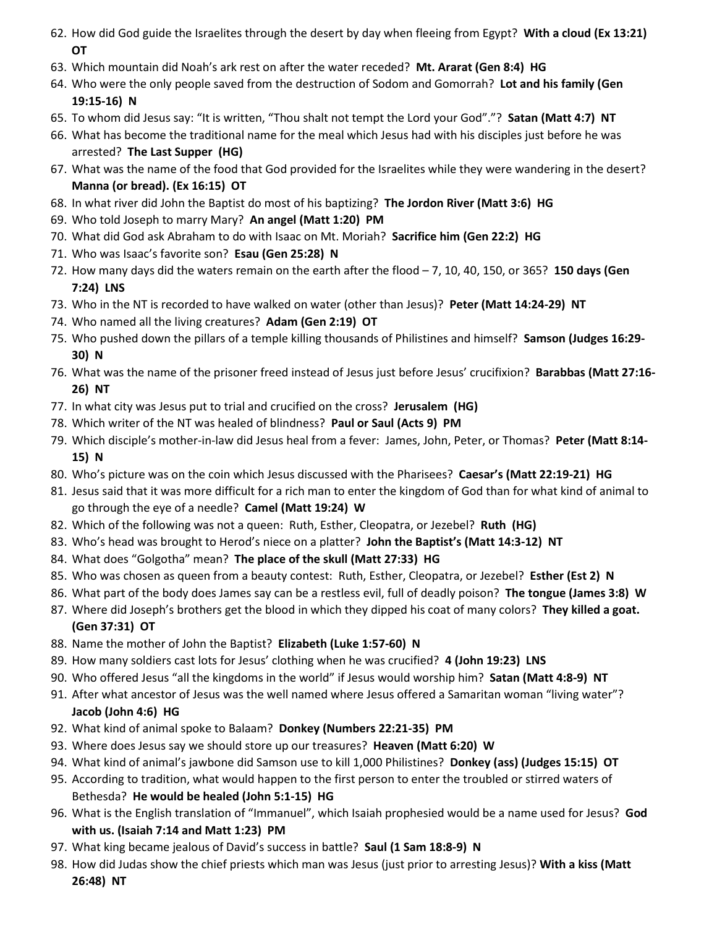- 62. How did God guide the Israelites through the desert by day when fleeing from Egypt? **With a cloud (Ex 13:21) OT**
- 63. Which mountain did Noah's ark rest on after the water receded? **Mt. Ararat (Gen 8:4) HG**
- 64. Who were the only people saved from the destruction of Sodom and Gomorrah? **Lot and his family (Gen 19:15-16) N**
- 65. To whom did Jesus say: "It is written, "Thou shalt not tempt the Lord your God"."? **Satan (Matt 4:7) NT**
- 66. What has become the traditional name for the meal which Jesus had with his disciples just before he was arrested? **The Last Supper (HG)**
- 67. What was the name of the food that God provided for the Israelites while they were wandering in the desert? **Manna (or bread). (Ex 16:15) OT**
- 68. In what river did John the Baptist do most of his baptizing? **The Jordon River (Matt 3:6) HG**
- 69. Who told Joseph to marry Mary? **An angel (Matt 1:20) PM**
- 70. What did God ask Abraham to do with Isaac on Mt. Moriah? **Sacrifice him (Gen 22:2) HG**
- 71. Who was Isaac's favorite son? **Esau (Gen 25:28) N**
- 72. How many days did the waters remain on the earth after the flood 7, 10, 40, 150, or 365? **150 days (Gen 7:24) LNS**
- 73. Who in the NT is recorded to have walked on water (other than Jesus)? **Peter (Matt 14:24-29) NT**
- 74. Who named all the living creatures? **Adam (Gen 2:19) OT**
- 75. Who pushed down the pillars of a temple killing thousands of Philistines and himself? **Samson (Judges 16:29- 30) N**
- 76. What was the name of the prisoner freed instead of Jesus just before Jesus' crucifixion? **Barabbas (Matt 27:16- 26) NT**
- 77. In what city was Jesus put to trial and crucified on the cross? **Jerusalem (HG)**
- 78. Which writer of the NT was healed of blindness? **Paul or Saul (Acts 9) PM**
- 79. Which disciple's mother-in-law did Jesus heal from a fever: James, John, Peter, or Thomas? **Peter (Matt 8:14- 15) N**
- 80. Who's picture was on the coin which Jesus discussed with the Pharisees? **Caesar's (Matt 22:19-21) HG**
- 81. Jesus said that it was more difficult for a rich man to enter the kingdom of God than for what kind of animal to go through the eye of a needle? **Camel (Matt 19:24) W**
- 82. Which of the following was not a queen: Ruth, Esther, Cleopatra, or Jezebel? **Ruth (HG)**
- 83. Who's head was brought to Herod's niece on a platter? **John the Baptist's (Matt 14:3-12) NT**
- 84. What does "Golgotha" mean? **The place of the skull (Matt 27:33) HG**
- 85. Who was chosen as queen from a beauty contest: Ruth, Esther, Cleopatra, or Jezebel? **Esther (Est 2) N**
- 86. What part of the body does James say can be a restless evil, full of deadly poison? **The tongue (James 3:8) W**
- 87. Where did Joseph's brothers get the blood in which they dipped his coat of many colors? **They killed a goat. (Gen 37:31) OT**
- 88. Name the mother of John the Baptist? **Elizabeth (Luke 1:57-60) N**
- 89. How many soldiers cast lots for Jesus' clothing when he was crucified? **4 (John 19:23) LNS**
- 90. Who offered Jesus "all the kingdoms in the world" if Jesus would worship him? **Satan (Matt 4:8-9) NT**
- 91. After what ancestor of Jesus was the well named where Jesus offered a Samaritan woman "living water"? **Jacob (John 4:6) HG**
- 92. What kind of animal spoke to Balaam? **Donkey (Numbers 22:21-35) PM**
- 93. Where does Jesus say we should store up our treasures? **Heaven (Matt 6:20) W**
- 94. What kind of animal's jawbone did Samson use to kill 1,000 Philistines? **Donkey (ass) (Judges 15:15) OT**
- 95. According to tradition, what would happen to the first person to enter the troubled or stirred waters of Bethesda? **He would be healed (John 5:1-15) HG**
- 96. What is the English translation of "Immanuel", which Isaiah prophesied would be a name used for Jesus? **God with us. (Isaiah 7:14 and Matt 1:23) PM**
- 97. What king became jealous of David's success in battle? **Saul (1 Sam 18:8-9) N**
- 98. How did Judas show the chief priests which man was Jesus (just prior to arresting Jesus)? **With a kiss (Matt 26:48) NT**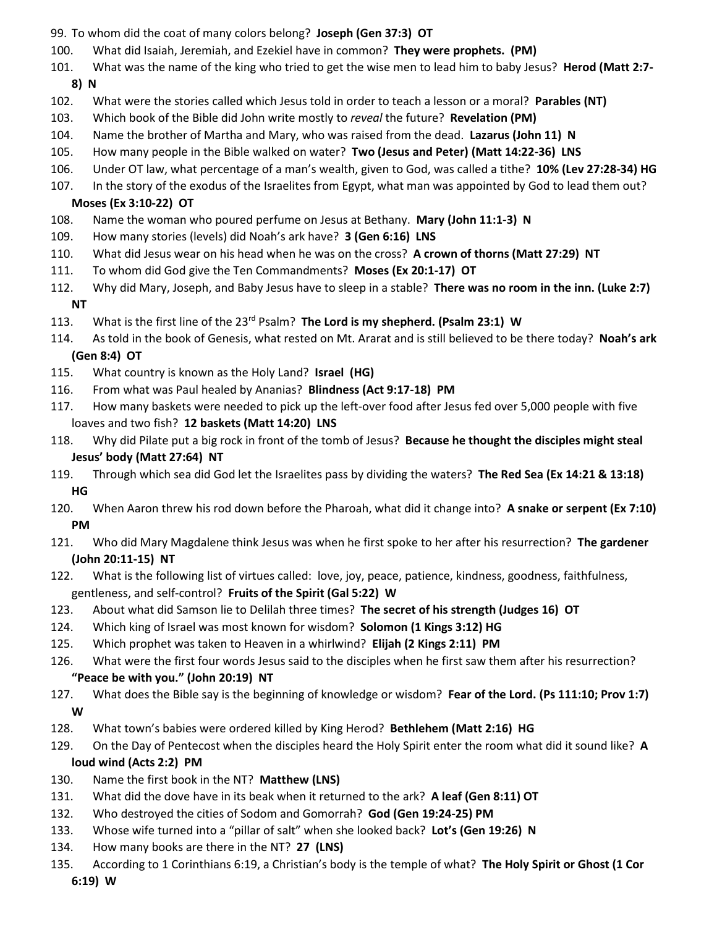- 99. To whom did the coat of many colors belong? **Joseph (Gen 37:3) OT**
- 100. What did Isaiah, Jeremiah, and Ezekiel have in common? **They were prophets. (PM)**
- 101. What was the name of the king who tried to get the wise men to lead him to baby Jesus? **Herod (Matt 2:7-**
	- **8) N**
- 102. What were the stories called which Jesus told in order to teach a lesson or a moral? **Parables (NT)**
- 103. Which book of the Bible did John write mostly to *reveal* the future? **Revelation (PM)**
- 104. Name the brother of Martha and Mary, who was raised from the dead. **Lazarus (John 11) N**
- 105. How many people in the Bible walked on water? **Two (Jesus and Peter) (Matt 14:22-36) LNS**
- 106. Under OT law, what percentage of a man's wealth, given to God, was called a tithe? **10% (Lev 27:28-34) HG**
- 107. In the story of the exodus of the Israelites from Egypt, what man was appointed by God to lead them out?

## **Moses (Ex 3:10-22) OT**

- 108. Name the woman who poured perfume on Jesus at Bethany. **Mary (John 11:1-3) N**
- 109. How many stories (levels) did Noah's ark have? **3 (Gen 6:16) LNS**
- 110. What did Jesus wear on his head when he was on the cross? **A crown of thorns (Matt 27:29) NT**
- 111. To whom did God give the Ten Commandments? **Moses (Ex 20:1-17) OT**
- 112. Why did Mary, Joseph, and Baby Jesus have to sleep in a stable? **There was no room in the inn. (Luke 2:7) NT**
- 113. What is the first line of the 23rd Psalm? **The Lord is my shepherd. (Psalm 23:1) W**
- 114. As told in the book of Genesis, what rested on Mt. Ararat and is still believed to be there today? **Noah's ark (Gen 8:4) OT**
- 115. What country is known as the Holy Land? **Israel (HG)**
- 116. From what was Paul healed by Ananias? **Blindness (Act 9:17-18) PM**
- 117. How many baskets were needed to pick up the left-over food after Jesus fed over 5,000 people with five loaves and two fish? **12 baskets (Matt 14:20) LNS**
- 118. Why did Pilate put a big rock in front of the tomb of Jesus? **Because he thought the disciples might steal Jesus' body (Matt 27:64) NT**
- 119. Through which sea did God let the Israelites pass by dividing the waters? **The Red Sea (Ex 14:21 & 13:18) HG**
- 120. When Aaron threw his rod down before the Pharoah, what did it change into? **A snake or serpent (Ex 7:10) PM**
- 121. Who did Mary Magdalene think Jesus was when he first spoke to her after his resurrection? **The gardener (John 20:11-15) NT**
- 122. What is the following list of virtues called: love, joy, peace, patience, kindness, goodness, faithfulness, gentleness, and self-control? **Fruits of the Spirit (Gal 5:22) W**
- 123. About what did Samson lie to Delilah three times? **The secret of his strength (Judges 16) OT**
- 124. Which king of Israel was most known for wisdom? **Solomon (1 Kings 3:12) HG**
- 125. Which prophet was taken to Heaven in a whirlwind? **Elijah (2 Kings 2:11) PM**
- 126. What were the first four words Jesus said to the disciples when he first saw them after his resurrection? **"Peace be with you." (John 20:19) NT**
- 127. What does the Bible say is the beginning of knowledge or wisdom? **Fear of the Lord. (Ps 111:10; Prov 1:7) W**
- 128. What town's babies were ordered killed by King Herod? **Bethlehem (Matt 2:16) HG**
- 129. On the Day of Pentecost when the disciples heard the Holy Spirit enter the room what did it sound like? **A loud wind (Acts 2:2) PM**
- 130. Name the first book in the NT? **Matthew (LNS)**
- 131. What did the dove have in its beak when it returned to the ark? **A leaf (Gen 8:11) OT**
- 132. Who destroyed the cities of Sodom and Gomorrah? **God (Gen 19:24-25) PM**
- 133. Whose wife turned into a "pillar of salt" when she looked back? **Lot's (Gen 19:26) N**
- 134. How many books are there in the NT? **27 (LNS)**
- 135. According to 1 Corinthians 6:19, a Christian's body is the temple of what? **The Holy Spirit or Ghost (1 Cor**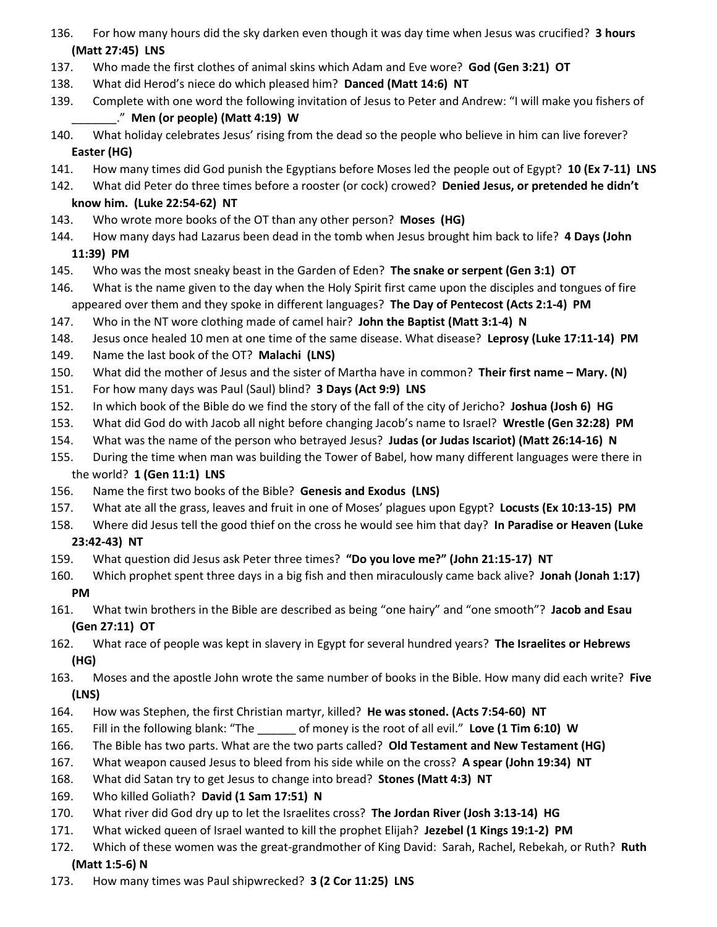- 136. For how many hours did the sky darken even though it was day time when Jesus was crucified? **3 hours (Matt 27:45) LNS**
- 137. Who made the first clothes of animal skins which Adam and Eve wore? **God (Gen 3:21) OT**
- 138. What did Herod's niece do which pleased him? **Danced (Matt 14:6) NT**
- 139. Complete with one word the following invitation of Jesus to Peter and Andrew: "I will make you fishers of \_\_\_\_\_\_\_." **Men (or people) (Matt 4:19) W**
- 140. What holiday celebrates Jesus' rising from the dead so the people who believe in him can live forever? **Easter (HG)**
- 141. How many times did God punish the Egyptians before Moses led the people out of Egypt? **10 (Ex 7-11) LNS**
- 142. What did Peter do three times before a rooster (or cock) crowed? **Denied Jesus, or pretended he didn't**

## **know him. (Luke 22:54-62) NT**

- 143. Who wrote more books of the OT than any other person? **Moses (HG)**
- 144. How many days had Lazarus been dead in the tomb when Jesus brought him back to life? **4 Days (John 11:39) PM**
- 145. Who was the most sneaky beast in the Garden of Eden? **The snake or serpent (Gen 3:1) OT**
- 146. What is the name given to the day when the Holy Spirit first came upon the disciples and tongues of fire appeared over them and they spoke in different languages? **The Day of Pentecost (Acts 2:1-4) PM**
- 147. Who in the NT wore clothing made of camel hair? **John the Baptist (Matt 3:1-4) N**
- 148. Jesus once healed 10 men at one time of the same disease. What disease? **Leprosy (Luke 17:11-14) PM**
- 149. Name the last book of the OT? **Malachi (LNS)**
- 150. What did the mother of Jesus and the sister of Martha have in common? **Their first name – Mary. (N)**
- 151. For how many days was Paul (Saul) blind? **3 Days (Act 9:9) LNS**
- 152. In which book of the Bible do we find the story of the fall of the city of Jericho? **Joshua (Josh 6) HG**
- 153. What did God do with Jacob all night before changing Jacob's name to Israel? **Wrestle (Gen 32:28) PM**
- 154. What was the name of the person who betrayed Jesus? **Judas (or Judas Iscariot) (Matt 26:14-16) N**
- 155. During the time when man was building the Tower of Babel, how many different languages were there in the world? **1 (Gen 11:1) LNS**
- 156. Name the first two books of the Bible? **Genesis and Exodus (LNS)**
- 157. What ate all the grass, leaves and fruit in one of Moses' plagues upon Egypt? **Locusts (Ex 10:13-15) PM**
- 158. Where did Jesus tell the good thief on the cross he would see him that day? **In Paradise or Heaven (Luke 23:42-43) NT**
- 159. What question did Jesus ask Peter three times? **"Do you love me?" (John 21:15-17) NT**
- 160. Which prophet spent three days in a big fish and then miraculously came back alive? **Jonah (Jonah 1:17) PM**
- 161. What twin brothers in the Bible are described as being "one hairy" and "one smooth"? **Jacob and Esau (Gen 27:11) OT**
- 162. What race of people was kept in slavery in Egypt for several hundred years? **The Israelites or Hebrews (HG)**
- 163. Moses and the apostle John wrote the same number of books in the Bible. How many did each write? **Five (LNS)**
- 164. How was Stephen, the first Christian martyr, killed? **He was stoned. (Acts 7:54-60) NT**
- 165. Fill in the following blank: "The \_\_\_\_\_\_ of money is the root of all evil." **Love (1 Tim 6:10) W**
- 166. The Bible has two parts. What are the two parts called? **Old Testament and New Testament (HG)**
- 167. What weapon caused Jesus to bleed from his side while on the cross? **A spear (John 19:34) NT**
- 168. What did Satan try to get Jesus to change into bread? **Stones (Matt 4:3) NT**
- 169. Who killed Goliath? **David (1 Sam 17:51) N**
- 170. What river did God dry up to let the Israelites cross? **The Jordan River (Josh 3:13-14) HG**
- 171. What wicked queen of Israel wanted to kill the prophet Elijah? **Jezebel (1 Kings 19:1-2) PM**
- 172. Which of these women was the great-grandmother of King David: Sarah, Rachel, Rebekah, or Ruth? **Ruth (Matt 1:5-6) N**
- 173. How many times was Paul shipwrecked? **3 (2 Cor 11:25) LNS**